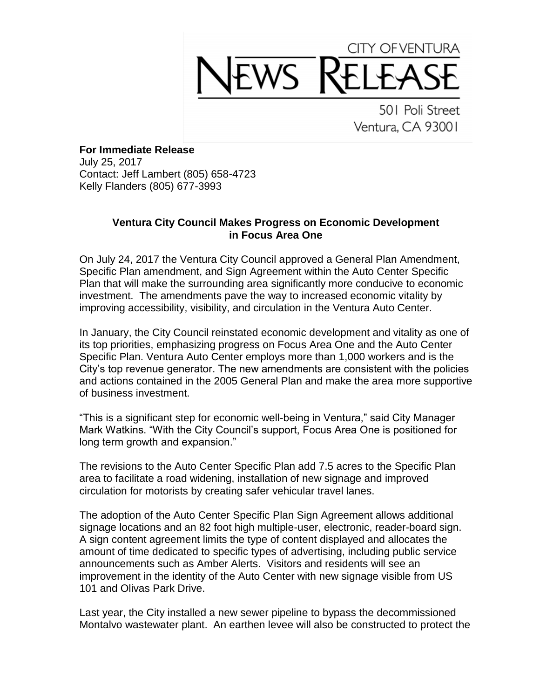## CITY OF VENTURA WS K

501 Poli Street Ventura, CA 93001

**For Immediate Release** July 25, 2017 Contact: Jeff Lambert (805) 658-4723 Kelly Flanders (805) 677-3993

## **Ventura City Council Makes Progress on Economic Development in Focus Area One**

On July 24, 2017 the Ventura City Council approved a General Plan Amendment, Specific Plan amendment, and Sign Agreement within the Auto Center Specific Plan that will make the surrounding area significantly more conducive to economic investment. The amendments pave the way to increased economic vitality by improving accessibility, visibility, and circulation in the Ventura Auto Center.

In January, the City Council reinstated economic development and vitality as one of its top priorities, emphasizing progress on Focus Area One and the Auto Center Specific Plan. Ventura Auto Center employs more than 1,000 workers and is the City's top revenue generator. The new amendments are consistent with the policies and actions contained in the 2005 General Plan and make the area more supportive of business investment.

"This is a significant step for economic well-being in Ventura," said City Manager Mark Watkins. "With the City Council's support, Focus Area One is positioned for long term growth and expansion."

The revisions to the Auto Center Specific Plan add 7.5 acres to the Specific Plan area to facilitate a road widening, installation of new signage and improved circulation for motorists by creating safer vehicular travel lanes.

The adoption of the Auto Center Specific Plan Sign Agreement allows additional signage locations and an 82 foot high multiple-user, electronic, reader-board sign. A sign content agreement limits the type of content displayed and allocates the amount of time dedicated to specific types of advertising, including public service announcements such as Amber Alerts. Visitors and residents will see an improvement in the identity of the Auto Center with new signage visible from US 101 and Olivas Park Drive.

Last year, the City installed a new sewer pipeline to bypass the decommissioned Montalvo wastewater plant. An earthen levee will also be constructed to protect the